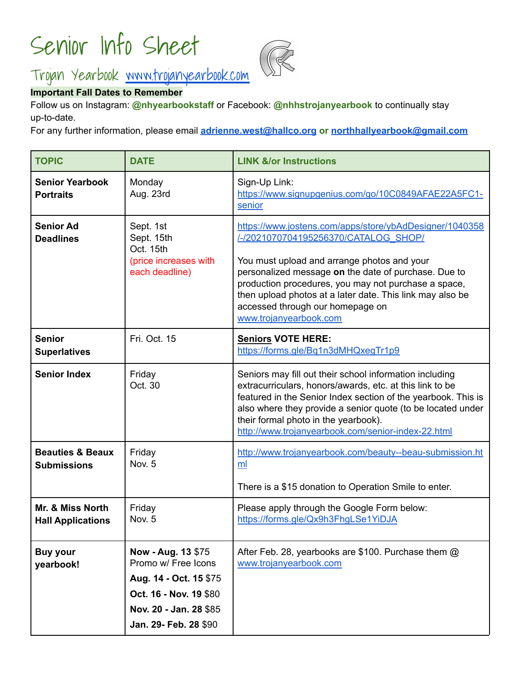# Senior Info Sheet



# Trojan Yearbook [www.trojanyearbook.com](http://www.trojanyearbook.com)

## **Important Fall Dates to Remember**

Follow us on Instagram: **@nhyearbookstaff** or Facebook: **@nhhstrojanyearbook** to continually stay up-to-date.

For any further information, please email **[adrienne.west@hallco.org](mailto:adrienne.west@hallco.org) or [northhallyearbook@gmail.com](mailto:northhallyearbook@gmail.com)**

| <b>TOPIC</b>                                      | <b>DATE</b>                                                                                                                                      | <b>LINK &amp;/or Instructions</b>                                                                                                                                                                                                                                                                                                                                                         |
|---------------------------------------------------|--------------------------------------------------------------------------------------------------------------------------------------------------|-------------------------------------------------------------------------------------------------------------------------------------------------------------------------------------------------------------------------------------------------------------------------------------------------------------------------------------------------------------------------------------------|
| <b>Senior Yearbook</b><br><b>Portraits</b>        | Monday<br>Aug. 23rd                                                                                                                              | Sign-Up Link:<br>https://www.signupgenius.com/go/10C0849AFAE22A5FC1-<br>senior                                                                                                                                                                                                                                                                                                            |
| <b>Senior Ad</b><br><b>Deadlines</b>              | Sept. 1st<br>Sept. 15th<br>Oct. 15th<br>(price increases with<br>each deadline)                                                                  | https://www.jostens.com/apps/store/ybAdDesigner/1040358<br>/-/2021070704195256370/CATALOG SHOP/<br>You must upload and arrange photos and your<br>personalized message on the date of purchase. Due to<br>production procedures, you may not purchase a space,<br>then upload photos at a later date. This link may also be<br>accessed through our homepage on<br>www.trojanyearbook.com |
| <b>Senior</b><br><b>Superlatives</b>              | Fri. Oct. 15                                                                                                                                     | <b>Seniors VOTE HERE:</b><br>https://forms.gle/Bq1n3dMHQxeqTr1p9                                                                                                                                                                                                                                                                                                                          |
| <b>Senior Index</b>                               | Friday<br>Oct. 30                                                                                                                                | Seniors may fill out their school information including<br>extracurriculars, honors/awards, etc. at this link to be<br>featured in the Senior Index section of the yearbook. This is<br>also where they provide a senior quote (to be located under<br>their formal photo in the yearbook).<br>http://www.trojanyearbook.com/senior-index-22.html                                         |
| <b>Beauties &amp; Beaux</b><br><b>Submissions</b> | Friday<br>Nov. 5                                                                                                                                 | http://www.trojanyearbook.com/beauty--beau-submission.ht<br>ml<br>There is a \$15 donation to Operation Smile to enter.                                                                                                                                                                                                                                                                   |
| Mr. & Miss North<br><b>Hall Applications</b>      | Friday<br>Nov. 5                                                                                                                                 | Please apply through the Google Form below:<br>https://forms.gle/Qx9h3FhgLSe1YiDJA                                                                                                                                                                                                                                                                                                        |
| <b>Buy your</b><br>yearbook!                      | Now - Aug. 13 \$75<br>Promo w/ Free Icons<br>Aug. 14 - Oct. 15 \$75<br>Oct. 16 - Nov. 19 \$80<br>Nov. 20 - Jan. 28 \$85<br>Jan. 29- Feb. 28 \$90 | After Feb. 28, yearbooks are \$100. Purchase them @<br>www.trojanyearbook.com                                                                                                                                                                                                                                                                                                             |